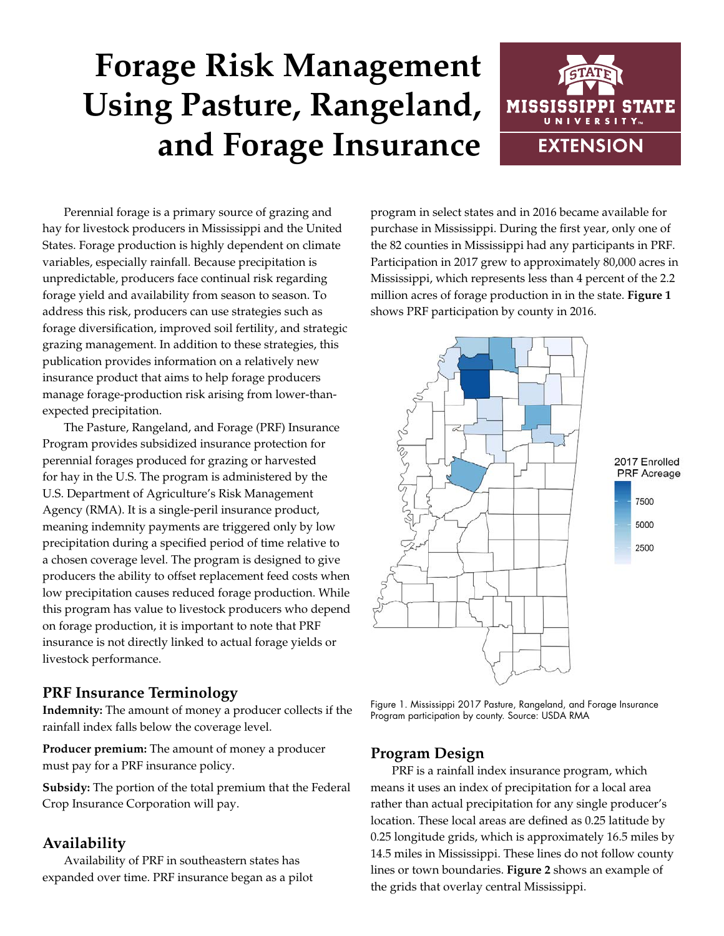# **Forage Risk Management Using Pasture, Rangeland, and Forage Insurance**



Perennial forage is a primary source of grazing and hay for livestock producers in Mississippi and the United States. Forage production is highly dependent on climate variables, especially rainfall. Because precipitation is unpredictable, producers face continual risk regarding forage yield and availability from season to season. To address this risk, producers can use strategies such as forage diversification, improved soil fertility, and strategic grazing management. In addition to these strategies, this publication provides information on a relatively new insurance product that aims to help forage producers manage forage-production risk arising from lower-thanexpected precipitation.

The Pasture, Rangeland, and Forage (PRF) Insurance Program provides subsidized insurance protection for perennial forages produced for grazing or harvested for hay in the U.S. The program is administered by the U.S. Department of Agriculture's Risk Management Agency (RMA). It is a single-peril insurance product, meaning indemnity payments are triggered only by low precipitation during a specified period of time relative to a chosen coverage level. The program is designed to give producers the ability to offset replacement feed costs when low precipitation causes reduced forage production. While this program has value to livestock producers who depend on forage production, it is important to note that PRF insurance is not directly linked to actual forage yields or livestock performance.

### **PRF Insurance Terminology**

**Indemnity:** The amount of money a producer collects if the rainfall index falls below the coverage level.

**Producer premium:** The amount of money a producer must pay for a PRF insurance policy.

**Subsidy:** The portion of the total premium that the Federal Crop Insurance Corporation will pay.

# **Availability**

Availability of PRF in southeastern states has expanded over time. PRF insurance began as a pilot

program in select states and in 2016 became available for purchase in Mississippi. During the first year, only one of the 82 counties in Mississippi had any participants in PRF. Participation in 2017 grew to approximately 80,000 acres in Mississippi, which represents less than 4 percent of the 2.2 million acres of forage production in in the state. **Figure 1** shows PRF participation by county in 2016.



Figure 1. Mississippi 2017 Pasture, Rangeland, and Forage Insurance Program participation by county. Source: USDA RMA

#### **Program Design**

PRF is a rainfall index insurance program, which means it uses an index of precipitation for a local area rather than actual precipitation for any single producer's location. These local areas are defined as 0.25 latitude by 0.25 longitude grids, which is approximately 16.5 miles by 14.5 miles in Mississippi. These lines do not follow county lines or town boundaries. **Figure 2** shows an example of the grids that overlay central Mississippi.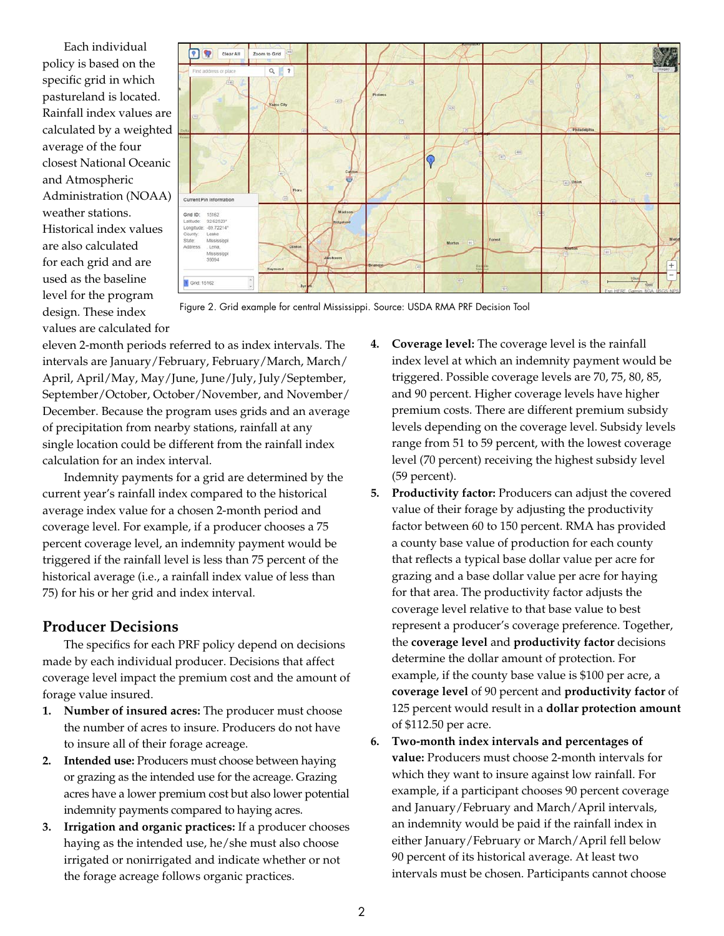Each individual policy is based on the specific grid in which pastureland is located. Rainfall index values are calculated by a weighted average of the four closest National Oceanic and Atmospheric Administration (NOAA) weather stations. Historical index values are also calculated for each grid and are used as the baseline level for the program design. These index values are calculated for



Figure 2. Grid example for central Mississippi. Source: USDA RMA PRF Decision Tool

eleven 2-month periods referred to as index intervals. The intervals are January/February, February/March, March/ April, April/May, May/June, June/July, July/September, September/October, October/November, and November/ December. Because the program uses grids and an average of precipitation from nearby stations, rainfall at any single location could be different from the rainfall index calculation for an index interval.

Indemnity payments for a grid are determined by the current year's rainfall index compared to the historical average index value for a chosen 2-month period and coverage level. For example, if a producer chooses a 75 percent coverage level, an indemnity payment would be triggered if the rainfall level is less than 75 percent of the historical average (i.e., a rainfall index value of less than 75) for his or her grid and index interval.

### **Producer Decisions**

The specifics for each PRF policy depend on decisions made by each individual producer. Decisions that affect coverage level impact the premium cost and the amount of forage value insured.

- **1. Number of insured acres:** The producer must choose the number of acres to insure. Producers do not have to insure all of their forage acreage.
- **2. Intended use:** Producers must choose between haying or grazing as the intended use for the acreage. Grazing acres have a lower premium cost but also lower potential indemnity payments compared to haying acres.
- **3. Irrigation and organic practices:** If a producer chooses haying as the intended use, he/she must also choose irrigated or nonirrigated and indicate whether or not the forage acreage follows organic practices.
- **4. Coverage level:** The coverage level is the rainfall index level at which an indemnity payment would be triggered. Possible coverage levels are 70, 75, 80, 85, and 90 percent. Higher coverage levels have higher premium costs. There are different premium subsidy levels depending on the coverage level. Subsidy levels range from 51 to 59 percent, with the lowest coverage level (70 percent) receiving the highest subsidy level (59 percent).
- **5. Productivity factor:** Producers can adjust the covered value of their forage by adjusting the productivity factor between 60 to 150 percent. RMA has provided a county base value of production for each county that reflects a typical base dollar value per acre for grazing and a base dollar value per acre for haying for that area. The productivity factor adjusts the coverage level relative to that base value to best represent a producer's coverage preference. Together, the **coverage level** and **productivity factor** decisions determine the dollar amount of protection. For example, if the county base value is \$100 per acre, a **coverage level** of 90 percent and **productivity factor** of 125 percent would result in a **dollar protection amount** of \$112.50 per acre.
- **6. Two-month index intervals and percentages of value:** Producers must choose 2-month intervals for which they want to insure against low rainfall. For example, if a participant chooses 90 percent coverage and January/February and March/April intervals, an indemnity would be paid if the rainfall index in either January/February or March/April fell below 90 percent of its historical average. At least two intervals must be chosen. Participants cannot choose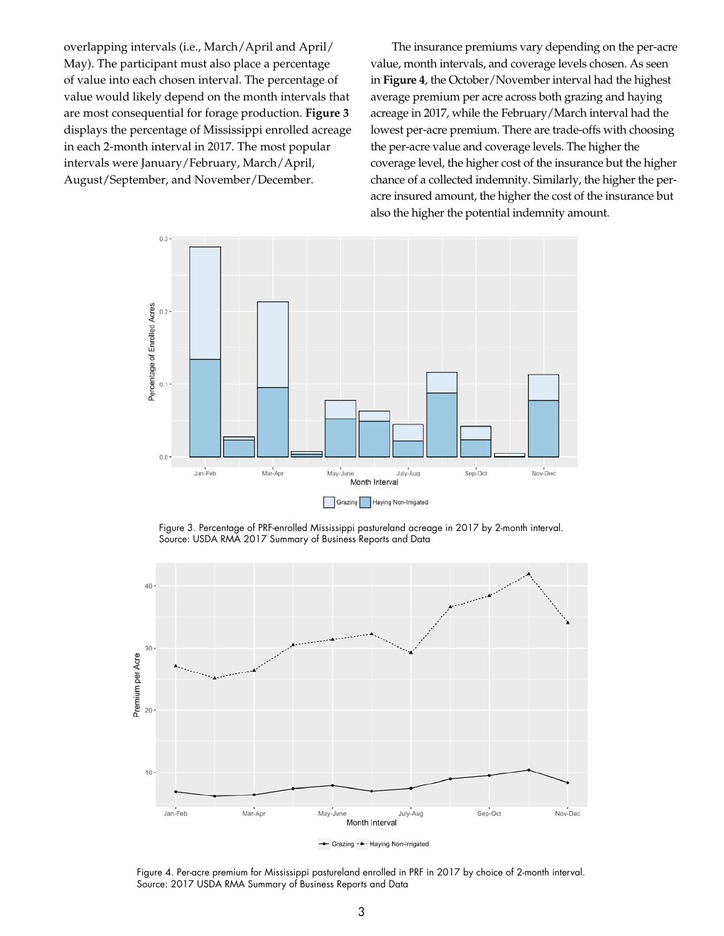overlapping intervals (i.e., March/April and April/ May). The participant must also place a percentage of value into each chosen interval. The percentage of value would likely depend on the month intervals that are most consequential for forage production. **Figure 3** displays the percentage of Mississippi enrolled acreage in each 2-month interval in 2017. The most popular intervals were January/February, March/April, August/September, and November/December.

The insurance premiums vary depending on the per-acre value, month intervals, and coverage levels chosen. As seen in **Figure 4**, the October/November interval had the highest average premium per acre across both grazing and haying acreage in 2017, while the February/March interval had the lowest per-acre premium. There are trade-offs with choosing the per-acre value and coverage levels. The higher the coverage level, the higher cost of the insurance but the higher chance of a collected indemnity. Similarly, the higher the peracre insured amount, the higher the cost of the insurance but also the higher the potential indemnity amount.



Figure 3. Percentage of PRF-enrolled Mississippi pastureland acreage in 2017 by 2-month interval. Source: USDA RMA 2017 Summary of Business Reports and Data



Figure 4. Per-acre premium for Mississippi pastureland enrolled in PRF in 2017 by choice of 2-month interval. Source: 2017 USDA RMA Summary of Business Reports and Data